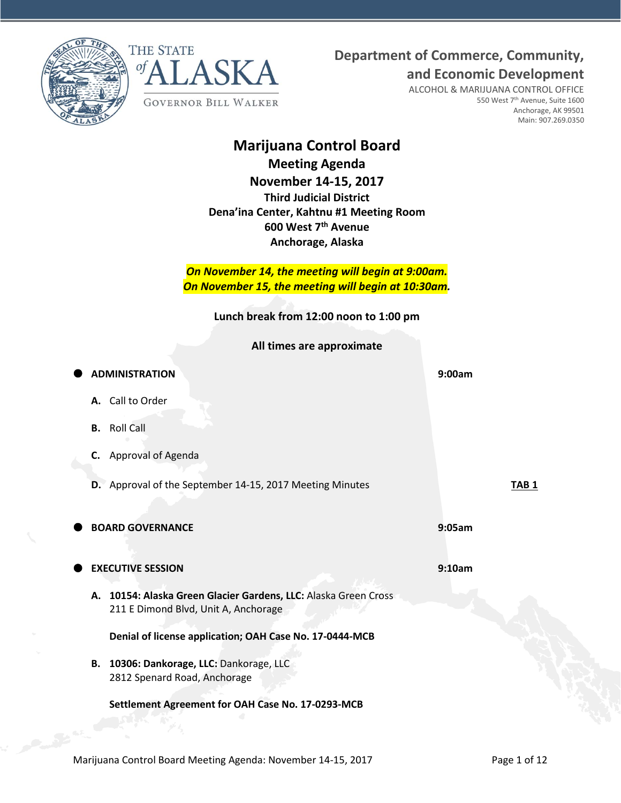**Department of Commerce, Community,**





ALCOHOL & MARIJUANA CONTROL OFFICE 550 West 7<sup>th</sup> Avenue, Suite 1600 Anchorage, AK 99501 Main: 907.269.0350

**and Economic Development**

# **Marijuana Control Board**

**Meeting Agenda November 14-15, 2017 Third Judicial District Dena'ina Center, Kahtnu #1 Meeting Room 600 West 7th Avenue Anchorage, Alaska**

*On November 14, the meeting will begin at 9:00am. On November 15, the meeting will begin at 10:30am.*

**Lunch break from 12:00 noon to 1:00 pm**

**All times are approximate**

| <b>ADMINISTRATION</b>                                                                                   | 9:00am           |
|---------------------------------------------------------------------------------------------------------|------------------|
| A. Call to Order                                                                                        |                  |
| <b>Roll Call</b><br>В.                                                                                  |                  |
| C. Approval of Agenda                                                                                   |                  |
| D. Approval of the September 14-15, 2017 Meeting Minutes                                                | TAB <sub>1</sub> |
| <b>BOARD GOVERNANCE</b>                                                                                 | 9:05am           |
|                                                                                                         |                  |
| <b>EXECUTIVE SESSION</b>                                                                                | 9:10am           |
| A. 10154: Alaska Green Glacier Gardens, LLC: Alaska Green Cross<br>211 E Dimond Blvd, Unit A, Anchorage |                  |
| Denial of license application; OAH Case No. 17-0444-MCB                                                 |                  |
| B. 10306: Dankorage, LLC: Dankorage, LLC                                                                |                  |
| 2812 Spenard Road, Anchorage                                                                            |                  |
| Settlement Agreement for OAH Case No. 17-0293-MCB                                                       |                  |
|                                                                                                         |                  |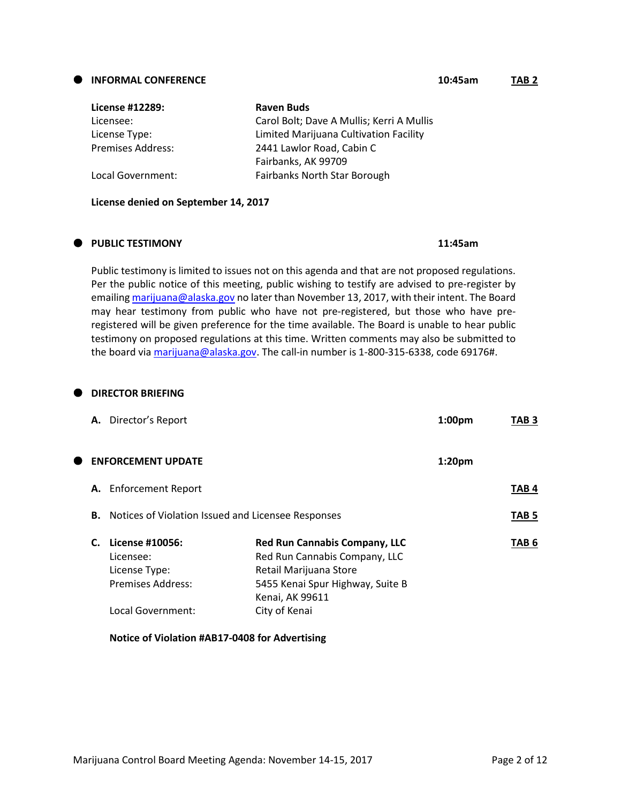#### Marijuana Control Board Meeting Agenda: November 14-15, 2017 Page 2 of 12

| License #12289:          | <b>Raven Buds</b>                         |
|--------------------------|-------------------------------------------|
| Licensee:                | Carol Bolt; Dave A Mullis; Kerri A Mullis |
| License Type:            | Limited Marijuana Cultivation Facility    |
| <b>Premises Address:</b> | 2441 Lawlor Road, Cabin C                 |
|                          | Fairbanks, AK 99709                       |
| Local Government:        | Fairbanks North Star Borough              |

**License denied on September 14, 2017**

#### **PUBLIC TESTIMONY 11:45am**

Public testimony is limited to issues not on this agenda and that are not proposed regulations. Per the public notice of this meeting, public wishing to testify are advised to pre-register by emailin[g marijuana@alaska.gov](mailto:marijuana@alaska.gov) no later than November 13, 2017, with their intent. The Board may hear testimony from public who have not pre-registered, but those who have preregistered will be given preference for the time available. The Board is unable to hear public testimony on proposed regulations at this time. Written comments may also be submitted to the board vi[a marijuana@alaska.gov.](mailto:marijuana@alaska.gov) The call-in number is 1-800-315-6338, code 69176#.

#### **DIRECTOR BRIEFING**

|   | A. Director's Report                                                            |                                                                                                                                                        | 1:00 <sub>pm</sub> | TAB 3            |
|---|---------------------------------------------------------------------------------|--------------------------------------------------------------------------------------------------------------------------------------------------------|--------------------|------------------|
| Œ | <b>ENFORCEMENT UPDATE</b>                                                       |                                                                                                                                                        | 1:20pm             |                  |
|   | A. Enforcement Report                                                           |                                                                                                                                                        |                    | TAB 4            |
|   | В.                                                                              | Notices of Violation Issued and Licensee Responses                                                                                                     |                    | TAB <sub>5</sub> |
|   | License #10056:<br>C.<br>Licensee:<br>License Type:<br><b>Premises Address:</b> | <b>Red Run Cannabis Company, LLC</b><br>Red Run Cannabis Company, LLC<br>Retail Marijuana Store<br>5455 Kenai Spur Highway, Suite B<br>Kenai, AK 99611 |                    | TAB 6            |
|   | Local Government:                                                               | City of Kenai                                                                                                                                          |                    |                  |

#### **Notice of Violation #AB17-0408 for Advertising**

#### **INFORMAL CONFERENCE 10:45am TAB 2**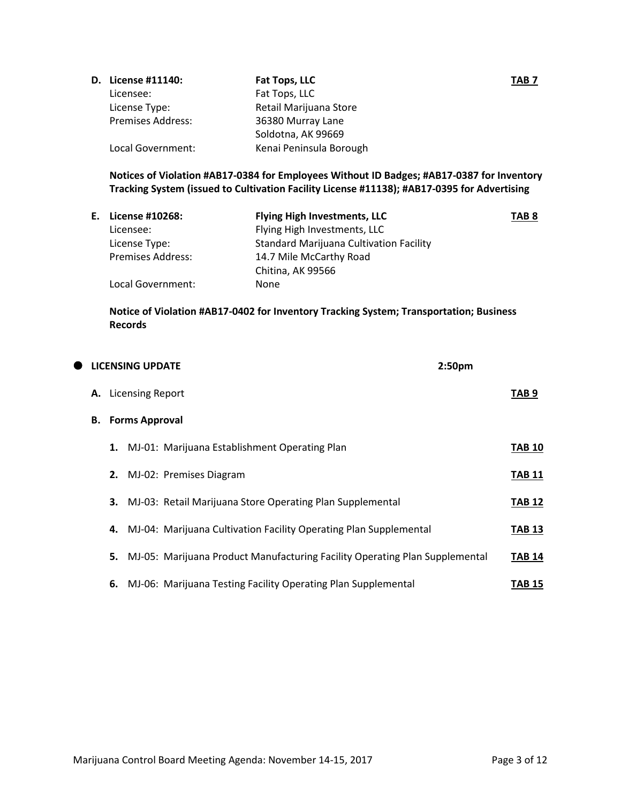| <b>D.</b> License #11140: | Fat Tops, LLC           | TAB 7 |
|---------------------------|-------------------------|-------|
| Licensee:                 | Fat Tops, LLC           |       |
| License Type:             | Retail Marijuana Store  |       |
| <b>Premises Address:</b>  | 36380 Murray Lane       |       |
|                           | Soldotna, AK 99669      |       |
| Local Government:         | Kenai Peninsula Borough |       |

# **Notices of Violation #AB17-0384 for Employees Without ID Badges; #AB17-0387 for Inventory Tracking System (issued to Cultivation Facility License #11138); #AB17-0395 for Advertising**

| E. License #10268:       | <b>Flying High Investments, LLC</b>            | TAB <sub>8</sub> |
|--------------------------|------------------------------------------------|------------------|
| Licensee:                | Flying High Investments, LLC                   |                  |
| License Type:            | <b>Standard Marijuana Cultivation Facility</b> |                  |
| <b>Premises Address:</b> | 14.7 Mile McCarthy Road                        |                  |
|                          | Chitina, AK 99566                              |                  |
| Local Government:        | None                                           |                  |

#### **Notice of Violation #AB17-0402 for Inventory Tracking System; Transportation; Business Records**

| $\bullet$ |    |    | <b>LICENSING UPDATE</b> |                                                                             | 2:50 <sub>pm</sub> |               |
|-----------|----|----|-------------------------|-----------------------------------------------------------------------------|--------------------|---------------|
|           |    |    | A. Licensing Report     |                                                                             |                    | TAB 9         |
|           | В. |    | <b>Forms Approval</b>   |                                                                             |                    |               |
|           |    | 1. |                         | MJ-01: Marijuana Establishment Operating Plan                               |                    | <b>TAB 10</b> |
|           |    |    |                         | 2. MJ-02: Premises Diagram                                                  |                    | <b>TAB 11</b> |
|           |    | 3. |                         | MJ-03: Retail Marijuana Store Operating Plan Supplemental                   |                    | <b>TAB 12</b> |
|           |    | 4. |                         | MJ-04: Marijuana Cultivation Facility Operating Plan Supplemental           |                    | <b>TAB 13</b> |
|           |    | 5. |                         | MJ-05: Marijuana Product Manufacturing Facility Operating Plan Supplemental |                    | <b>TAB 14</b> |
|           |    | 6. |                         | MJ-06: Marijuana Testing Facility Operating Plan Supplemental               |                    | <b>TAB 15</b> |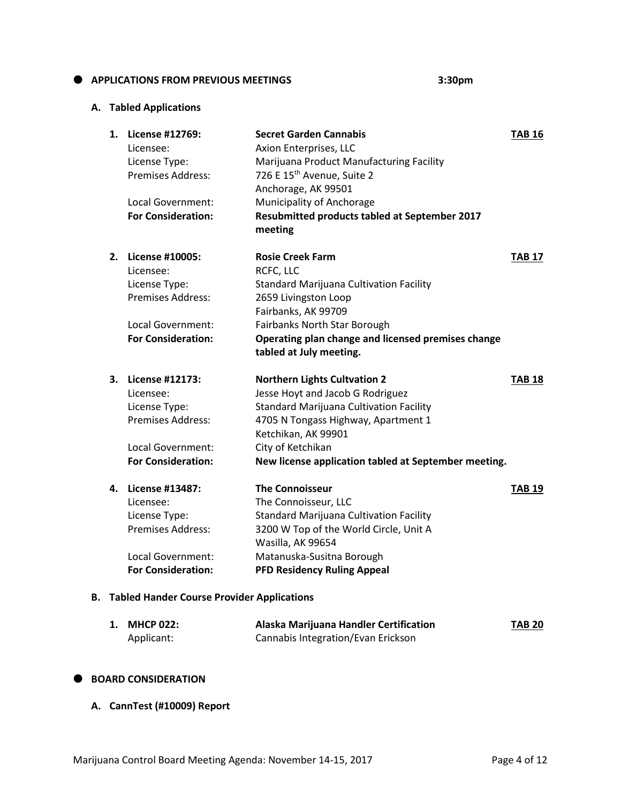# **APPLICATIONS FROM PREVIOUS MEETINGS 3:30pm**

#### **A. Tabled Applications**

| 1. | License #12769:<br>Licensee:<br>License Type:<br><b>Premises Address:</b> | <b>Secret Garden Cannabis</b><br>Axion Enterprises, LLC<br>Marijuana Product Manufacturing Facility<br>726 E 15 <sup>th</sup> Avenue, Suite 2<br>Anchorage, AK 99501 | <b>TAB 16</b> |
|----|---------------------------------------------------------------------------|----------------------------------------------------------------------------------------------------------------------------------------------------------------------|---------------|
|    | Local Government:                                                         | Municipality of Anchorage                                                                                                                                            |               |
|    | <b>For Consideration:</b>                                                 | Resubmitted products tabled at September 2017<br>meeting                                                                                                             |               |
| 2. | License #10005:                                                           | <b>Rosie Creek Farm</b>                                                                                                                                              | <b>TAB 17</b> |
|    | Licensee:                                                                 | RCFC, LLC                                                                                                                                                            |               |
|    | License Type:                                                             | <b>Standard Marijuana Cultivation Facility</b>                                                                                                                       |               |
|    | <b>Premises Address:</b>                                                  | 2659 Livingston Loop                                                                                                                                                 |               |
|    |                                                                           | Fairbanks, AK 99709                                                                                                                                                  |               |
|    | Local Government:                                                         | Fairbanks North Star Borough                                                                                                                                         |               |
|    | <b>For Consideration:</b>                                                 | Operating plan change and licensed premises change<br>tabled at July meeting.                                                                                        |               |
| 3. | License #12173:                                                           | <b>Northern Lights Cultvation 2</b>                                                                                                                                  | <b>TAB 18</b> |
|    | Licensee:                                                                 | Jesse Hoyt and Jacob G Rodriguez                                                                                                                                     |               |
|    | License Type:                                                             | <b>Standard Marijuana Cultivation Facility</b>                                                                                                                       |               |
|    | <b>Premises Address:</b>                                                  | 4705 N Tongass Highway, Apartment 1                                                                                                                                  |               |
|    |                                                                           | Ketchikan, AK 99901                                                                                                                                                  |               |
|    | Local Government:                                                         | City of Ketchikan                                                                                                                                                    |               |
|    | <b>For Consideration:</b>                                                 | New license application tabled at September meeting.                                                                                                                 |               |
| 4. | <b>License #13487:</b>                                                    | <b>The Connoisseur</b>                                                                                                                                               | <b>TAB 19</b> |
|    | Licensee:                                                                 | The Connoisseur, LLC                                                                                                                                                 |               |
|    | License Type:                                                             | <b>Standard Marijuana Cultivation Facility</b>                                                                                                                       |               |
|    | Premises Address:                                                         | 3200 W Top of the World Circle, Unit A                                                                                                                               |               |
|    |                                                                           | Wasilla, AK 99654                                                                                                                                                    |               |
|    | Local Government:                                                         | Matanuska-Susitna Borough                                                                                                                                            |               |
|    | <b>For Consideration:</b>                                                 | <b>PFD Residency Ruling Appeal</b>                                                                                                                                   |               |
|    |                                                                           |                                                                                                                                                                      |               |

# **B. Tabled Hander Course Provider Applications**

| 1. MHCP 022: | Alaska Marijuana Handler Certification | <b>TAB 20</b> |
|--------------|----------------------------------------|---------------|
| Applicant:   | Cannabis Integration/Evan Erickson     |               |

#### **BOARD CONSIDERATION**

**A. CannTest (#10009) Report**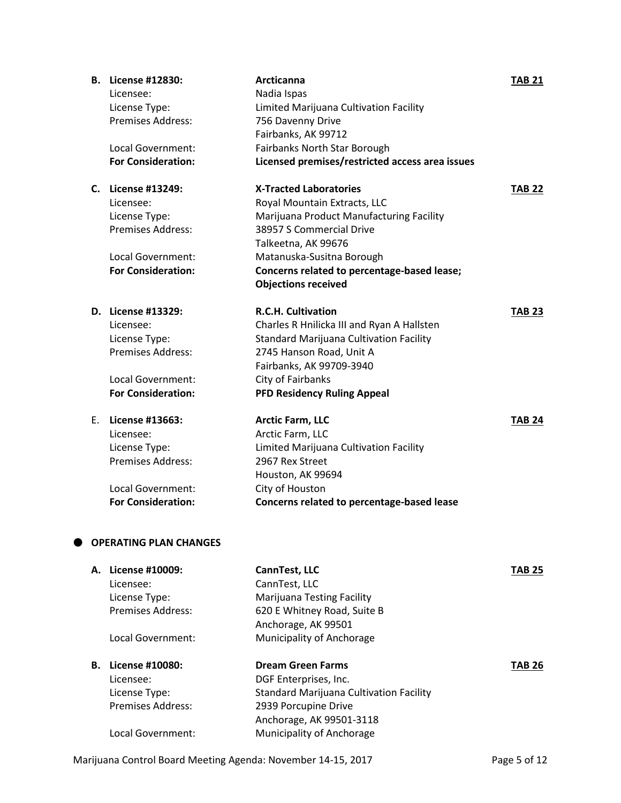| <b>B.</b> License #12830:<br>Licensee: | Arcticanna<br>Nadia Ispas                       | <b>TAB 21</b> |
|----------------------------------------|-------------------------------------------------|---------------|
| License Type:                          | Limited Marijuana Cultivation Facility          |               |
| <b>Premises Address:</b>               | 756 Davenny Drive                               |               |
|                                        | Fairbanks, AK 99712                             |               |
| Local Government:                      | Fairbanks North Star Borough                    |               |
| <b>For Consideration:</b>              | Licensed premises/restricted access area issues |               |
| C. License #13249:                     | <b>X-Tracted Laboratories</b>                   | <b>TAB 22</b> |
| Licensee:                              | Royal Mountain Extracts, LLC                    |               |
| License Type:                          | Marijuana Product Manufacturing Facility        |               |
| Premises Address:                      | 38957 S Commercial Drive                        |               |
|                                        | Talkeetna, AK 99676                             |               |
| Local Government:                      | Matanuska-Susitna Borough                       |               |
| <b>For Consideration:</b>              | Concerns related to percentage-based lease;     |               |
|                                        | <b>Objections received</b>                      |               |
| D. License #13329:                     | <b>R.C.H. Cultivation</b>                       | <b>TAB 23</b> |
| Licensee:                              | Charles R Hnilicka III and Ryan A Hallsten      |               |
| License Type:                          | <b>Standard Marijuana Cultivation Facility</b>  |               |
| Premises Address:                      | 2745 Hanson Road, Unit A                        |               |
|                                        | Fairbanks, AK 99709-3940                        |               |
| Local Government:                      | City of Fairbanks                               |               |
| <b>For Consideration:</b>              | <b>PFD Residency Ruling Appeal</b>              |               |
| E. License #13663:                     | <b>Arctic Farm, LLC</b>                         | <b>TAB 24</b> |
| Licensee:                              | Arctic Farm, LLC                                |               |
| License Type:                          | Limited Marijuana Cultivation Facility          |               |
| <b>Premises Address:</b>               | 2967 Rex Street                                 |               |
|                                        | Houston, AK 99694                               |               |
| Local Government:                      | City of Houston                                 |               |
| <b>For Consideration:</b>              | Concerns related to percentage-based lease      |               |
| <b>OPERATING PLAN CHANGES</b>          |                                                 |               |
| A. License #10009:                     | CannTest, LLC                                   | <b>TAB 25</b> |
| Licensee:                              | CannTest, LLC                                   |               |
| License Type:                          | Marijuana Testing Facility                      |               |
| <b>Premises Address:</b>               | 620 E Whitney Road, Suite B                     |               |
|                                        | Anchorage, AK 99501                             |               |
| Local Government:                      | Municipality of Anchorage                       |               |
| <b>B.</b> License #10080:              | <b>Dream Green Farms</b>                        | <b>TAB 26</b> |
| Licensee:                              | DGF Enterprises, Inc.                           |               |
| License Type:                          | Standard Marijuana Cultivation Facility         |               |
| <b>Premises Address:</b>               | 2939 Porcupine Drive                            |               |
|                                        | Anchorage, AK 99501-3118                        |               |
| Local Government:                      | Municipality of Anchorage                       |               |

Marijuana Control Board Meeting Agenda: November 14-15, 2017 Page 5 of 12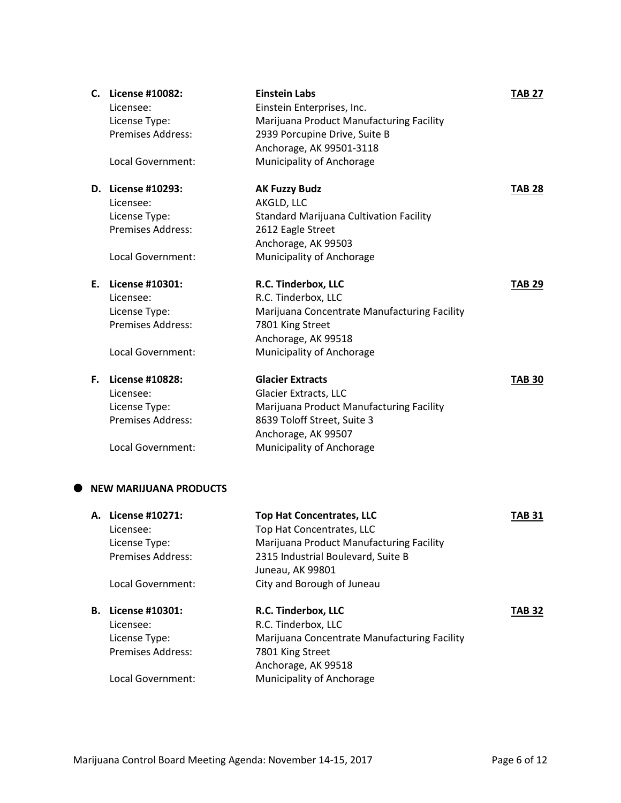| C. License #10082:<br>Licensee:<br>License Type:<br>Premises Address:<br>Local Government:        | <b>Einstein Labs</b><br>Einstein Enterprises, Inc.<br>Marijuana Product Manufacturing Facility<br>2939 Porcupine Drive, Suite B<br>Anchorage, AK 99501-3118<br>Municipality of Anchorage          | <b>TAB 27</b> |
|---------------------------------------------------------------------------------------------------|---------------------------------------------------------------------------------------------------------------------------------------------------------------------------------------------------|---------------|
| D. License #10293:<br>Licensee:<br>License Type:<br>Premises Address:<br>Local Government:        | <b>AK Fuzzy Budz</b><br>AKGLD, LLC<br><b>Standard Marijuana Cultivation Facility</b><br>2612 Eagle Street<br>Anchorage, AK 99503<br>Municipality of Anchorage                                     | <b>TAB 28</b> |
| E. License #10301:<br>Licensee:<br>License Type:<br>Premises Address:<br>Local Government:        | R.C. Tinderbox, LLC<br>R.C. Tinderbox, LLC<br>Marijuana Concentrate Manufacturing Facility<br>7801 King Street<br>Anchorage, AK 99518<br>Municipality of Anchorage                                | <b>TAB 29</b> |
| F. License #10828:<br>Licensee:<br>License Type:<br><b>Premises Address:</b><br>Local Government: | <b>Glacier Extracts</b><br><b>Glacier Extracts, LLC</b><br>Marijuana Product Manufacturing Facility<br>8639 Toloff Street, Suite 3<br>Anchorage, AK 99507<br>Municipality of Anchorage            | <b>TAB 30</b> |
| <b>NEW MARIJUANA PRODUCTS</b>                                                                     |                                                                                                                                                                                                   |               |
| A. License #10271:<br>Licensee:<br>License Type:<br>Premises Address:<br>Local Government:        | <b>Top Hat Concentrates, LLC</b><br>Top Hat Concentrates, LLC<br>Marijuana Product Manufacturing Facility<br>2315 Industrial Boulevard, Suite B<br>Juneau, AK 99801<br>City and Borough of Juneau | <b>TAB 31</b> |

# **B. License #10301: R.C. Tinderbox, LLC TAB 32** Licensee: R.C. Tinderbox, LLC License Type: Marijuana Concentrate Manufacturing Facility Premises Address: 7801 King Street Anchorage, AK 99518 Local Government: Municipality of Anchorage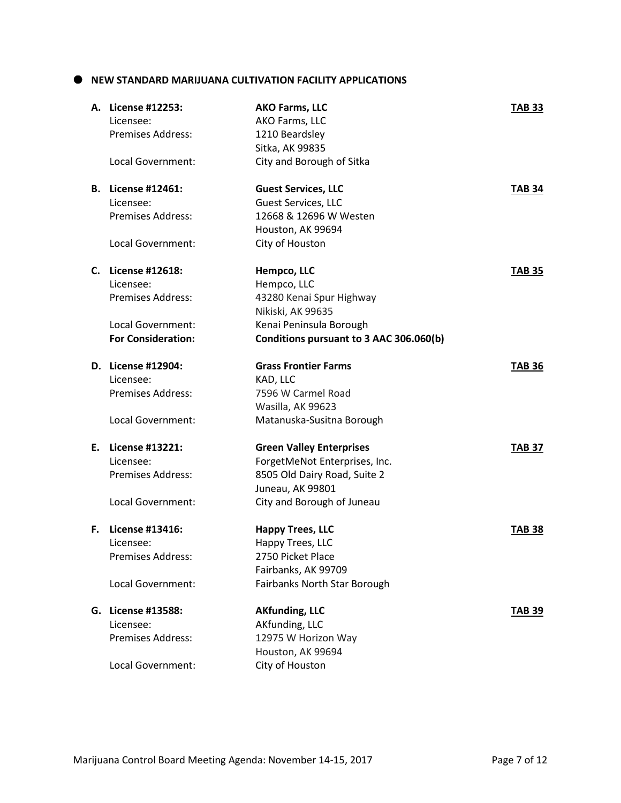# **NEW STANDARD MARIJUANA CULTIVATION FACILITY APPLICATIONS**

|    | A. License #12253:<br>Licensee:<br><b>Premises Address:</b>                                                   | <b>AKO Farms, LLC</b><br>AKO Farms, LLC<br>1210 Beardsley<br>Sitka, AK 99835                                                                       | <b>TAB 33</b> |
|----|---------------------------------------------------------------------------------------------------------------|----------------------------------------------------------------------------------------------------------------------------------------------------|---------------|
|    | Local Government:                                                                                             | City and Borough of Sitka                                                                                                                          |               |
|    | <b>B.</b> License #12461:<br>Licensee:<br><b>Premises Address:</b><br>Local Government:                       | <b>Guest Services, LLC</b><br><b>Guest Services, LLC</b><br>12668 & 12696 W Westen<br>Houston, AK 99694<br>City of Houston                         | <b>TAB 34</b> |
|    | C. License #12618:<br>Licensee:<br><b>Premises Address:</b><br>Local Government:<br><b>For Consideration:</b> | Hempco, LLC<br>Hempco, LLC<br>43280 Kenai Spur Highway<br>Nikiski, AK 99635<br>Kenai Peninsula Borough<br>Conditions pursuant to 3 AAC 306.060(b)  | <b>TAB 35</b> |
|    | D. License #12904:<br>Licensee:<br><b>Premises Address:</b><br>Local Government:                              | <b>Grass Frontier Farms</b><br>KAD, LLC<br>7596 W Carmel Road<br>Wasilla, AK 99623<br>Matanuska-Susitna Borough                                    | <b>TAB 36</b> |
|    | E. License #13221:<br>Licensee:<br><b>Premises Address:</b><br>Local Government:                              | <b>Green Valley Enterprises</b><br>ForgetMeNot Enterprises, Inc.<br>8505 Old Dairy Road, Suite 2<br>Juneau, AK 99801<br>City and Borough of Juneau | <b>TAB 37</b> |
| F. | License #13416:<br>Licensee:<br><b>Premises Address:</b><br>Local Government:                                 | <b>Happy Trees, LLC</b><br>Happy Trees, LLC<br>2750 Picket Place<br>Fairbanks, AK 99709<br>Fairbanks North Star Borough                            | <b>TAB 38</b> |
|    | G. License #13588:<br>Licensee:<br><b>Premises Address:</b><br>Local Government:                              | <b>AKfunding, LLC</b><br>AKfunding, LLC<br>12975 W Horizon Way<br>Houston, AK 99694<br>City of Houston                                             | <b>TAB 39</b> |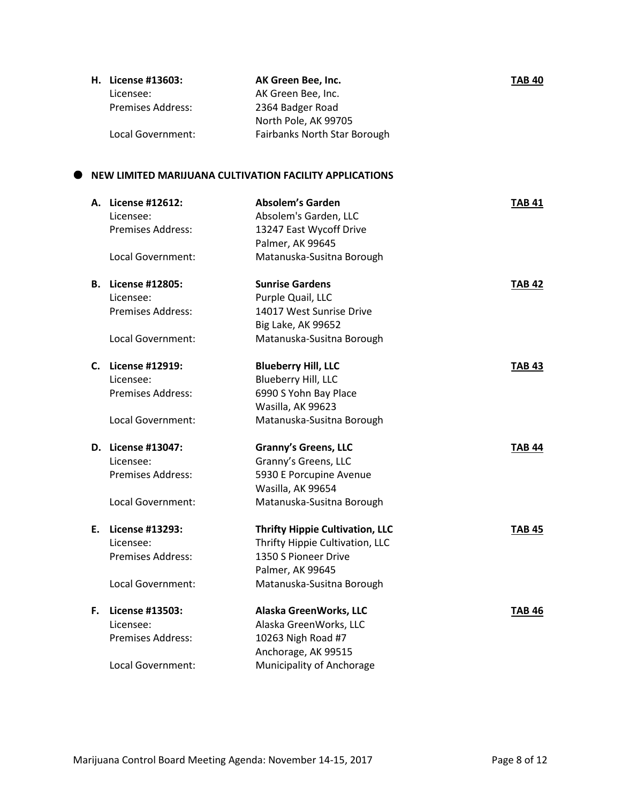| H. License #13603:       | AK Green Bee, Inc.                  | <b>TAB 40</b> |
|--------------------------|-------------------------------------|---------------|
| Licensee:                | AK Green Bee, Inc.                  |               |
| <b>Premises Address:</b> | 2364 Badger Road                    |               |
|                          | North Pole, AK 99705                |               |
| Local Government:        | <b>Fairbanks North Star Borough</b> |               |

# **NEW LIMITED MARIJUANA CULTIVATION FACILITY APPLICATIONS**

| А. | License #12612:<br>Licensee:<br><b>Premises Address:</b><br>Local Government: | <b>Absolem's Garden</b><br>Absolem's Garden, LLC<br>13247 East Wycoff Drive<br>Palmer, AK 99645<br>Matanuska-Susitna Borough | <b>TAB 41</b> |
|----|-------------------------------------------------------------------------------|------------------------------------------------------------------------------------------------------------------------------|---------------|
|    |                                                                               |                                                                                                                              |               |
|    | <b>B.</b> License #12805:                                                     | <b>Sunrise Gardens</b>                                                                                                       | <b>TAB 42</b> |
|    | Licensee:                                                                     | Purple Quail, LLC                                                                                                            |               |
|    | Premises Address:                                                             | 14017 West Sunrise Drive                                                                                                     |               |
|    |                                                                               | <b>Big Lake, AK 99652</b>                                                                                                    |               |
|    | Local Government:                                                             | Matanuska-Susitna Borough                                                                                                    |               |
|    | C. License #12919:                                                            | <b>Blueberry Hill, LLC</b>                                                                                                   | <b>TAB 43</b> |
|    | Licensee:                                                                     | Blueberry Hill, LLC                                                                                                          |               |
|    | <b>Premises Address:</b>                                                      | 6990 S Yohn Bay Place                                                                                                        |               |
|    |                                                                               | Wasilla, AK 99623                                                                                                            |               |
|    | Local Government:                                                             | Matanuska-Susitna Borough                                                                                                    |               |
|    |                                                                               |                                                                                                                              |               |
|    | D. License #13047:                                                            |                                                                                                                              | <b>TAB 44</b> |
|    | Licensee:                                                                     | <b>Granny's Greens, LLC</b><br>Granny's Greens, LLC                                                                          |               |
|    | Premises Address:                                                             | 5930 E Porcupine Avenue                                                                                                      |               |
|    |                                                                               | Wasilla, AK 99654                                                                                                            |               |
|    | Local Government:                                                             | Matanuska-Susitna Borough                                                                                                    |               |
| Е. | License #13293:                                                               |                                                                                                                              | <b>TAB 45</b> |
|    | Licensee:                                                                     | <b>Thrifty Hippie Cultivation, LLC</b><br>Thrifty Hippie Cultivation, LLC                                                    |               |
|    | Premises Address:                                                             | 1350 S Pioneer Drive                                                                                                         |               |
|    |                                                                               | Palmer, AK 99645                                                                                                             |               |
|    | Local Government:                                                             | Matanuska-Susitna Borough                                                                                                    |               |
| F. | License #13503:                                                               | Alaska GreenWorks, LLC                                                                                                       | <b>TAB 46</b> |
|    | Licensee:                                                                     | Alaska GreenWorks, LLC                                                                                                       |               |
|    | <b>Premises Address:</b>                                                      | 10263 Nigh Road #7                                                                                                           |               |
|    |                                                                               | Anchorage, AK 99515                                                                                                          |               |
|    | Local Government:                                                             | Municipality of Anchorage                                                                                                    |               |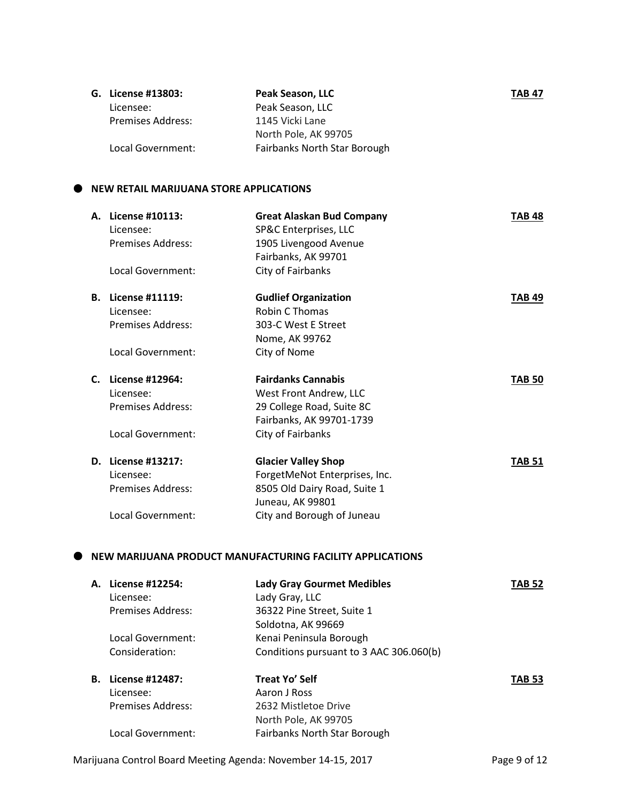| G. License #13803:       | Peak Season, LLC             | <b>TAB 47</b> |
|--------------------------|------------------------------|---------------|
| Licensee:                | Peak Season, LLC             |               |
| <b>Premises Address:</b> | 1145 Vicki Lane              |               |
|                          | North Pole, AK 99705         |               |
| Local Government:        | Fairbanks North Star Borough |               |

#### $\bullet$  NEW RETAIL MARIJUANA STORE APPLICATIONS

| А.             | License #10113:<br>Licensee: | <b>Great Alaskan Bud Company</b><br>SP&C Enterprises, LLC | <b>TAB 48</b> |
|----------------|------------------------------|-----------------------------------------------------------|---------------|
|                | <b>Premises Address:</b>     | 1905 Livengood Avenue                                     |               |
|                |                              | Fairbanks, AK 99701                                       |               |
|                | Local Government:            | City of Fairbanks                                         |               |
| В.             | License #11119:              | <b>Gudlief Organization</b>                               | <b>TAB 49</b> |
|                | Licensee:                    | Robin C Thomas                                            |               |
|                | Premises Address:            | 303-C West E Street                                       |               |
|                |                              | Nome, AK 99762                                            |               |
|                | Local Government:            | City of Nome                                              |               |
| $\mathsf{C}$ . | License #12964:              | <b>Fairdanks Cannabis</b>                                 | <b>TAB 50</b> |
|                | Licensee:                    | West Front Andrew, LLC                                    |               |
|                | <b>Premises Address:</b>     | 29 College Road, Suite 8C                                 |               |
|                |                              | Fairbanks, AK 99701-1739                                  |               |
|                | Local Government:            | City of Fairbanks                                         |               |
| D.             | License #13217:              | <b>Glacier Valley Shop</b>                                | <b>TAB 51</b> |
|                | Licensee:                    | ForgetMeNot Enterprises, Inc.                             |               |
|                |                              |                                                           |               |
|                | Premises Address:            | 8505 Old Dairy Road, Suite 1                              |               |
|                |                              | Juneau, AK 99801                                          |               |
|                | Local Government:            | City and Borough of Juneau                                |               |

#### **NEW MARIJUANA PRODUCT MANUFACTURING FACILITY APPLICATIONS**

| А. | License #12254:   | <b>Lady Gray Gourmet Medibles</b>       | TAB 52        |
|----|-------------------|-----------------------------------------|---------------|
|    | Licensee:         | Lady Gray, LLC                          |               |
|    | Premises Address: | 36322 Pine Street, Suite 1              |               |
|    |                   | Soldotna, AK 99669                      |               |
|    | Local Government: | Kenai Peninsula Borough                 |               |
|    | Consideration:    | Conditions pursuant to 3 AAC 306.060(b) |               |
| В. | License #12487:   | Treat Yo' Self                          | <b>TAB 53</b> |
|    | Licensee:         | Aaron J Ross                            |               |
|    | Premises Address: | 2632 Mistletoe Drive                    |               |
|    |                   | North Pole, AK 99705                    |               |
|    | Local Government: | Fairbanks North Star Borough            |               |

Marijuana Control Board Meeting Agenda: November 14-15, 2017 Page 9 of 12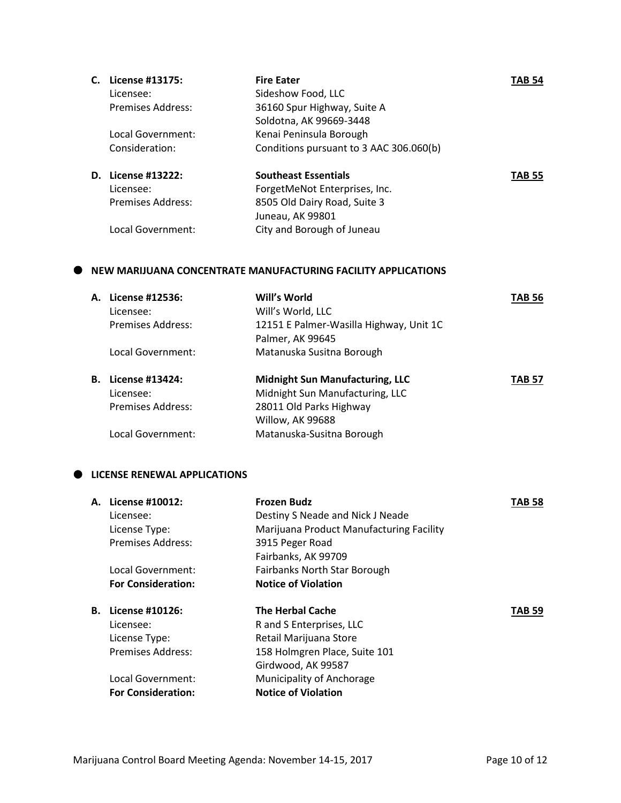| C. | License #13175:    | <b>Fire Eater</b>                       | TAB 54        |
|----|--------------------|-----------------------------------------|---------------|
|    | Licensee:          | Sideshow Food, LLC                      |               |
|    | Premises Address:  | 36160 Spur Highway, Suite A             |               |
|    |                    | Soldotna, AK 99669-3448                 |               |
|    | Local Government:  | Kenai Peninsula Borough                 |               |
|    | Consideration:     | Conditions pursuant to 3 AAC 306.060(b) |               |
|    | D. License #13222: | <b>Southeast Essentials</b>             | <b>TAB 55</b> |
|    | Licensee:          | ForgetMeNot Enterprises, Inc.           |               |
|    | Premises Address:  | 8505 Old Dairy Road, Suite 3            |               |
|    |                    | Juneau, AK 99801                        |               |
|    | Local Government:  | City and Borough of Juneau              |               |
|    |                    |                                         |               |

#### **NEW MARIJUANA CONCENTRATE MANUFACTURING FACILITY APPLICATIONS**

| А. | License #12536:          | Will's World                            | TAB 56        |
|----|--------------------------|-----------------------------------------|---------------|
|    | Licensee:                | Will's World, LLC                       |               |
|    | Premises Address:        | 12151 E Palmer-Wasilla Highway, Unit 1C |               |
|    |                          | Palmer, AK 99645                        |               |
|    | Local Government:        | Matanuska Susitna Borough               |               |
| В. | License #13424:          | <b>Midnight Sun Manufacturing, LLC</b>  | <b>TAB 57</b> |
|    | Licensee:                | Midnight Sun Manufacturing, LLC         |               |
|    | <b>Premises Address:</b> | 28011 Old Parks Highway                 |               |
|    |                          | Willow, AK 99688                        |               |
|    | Local Government:        | Matanuska-Susitna Borough               |               |

### $\bullet$  LICENSE RENEWAL APPLICATIONS

| А. | License #10012:           | <b>Frozen Budz</b>                       | <b>TAB 58</b> |
|----|---------------------------|------------------------------------------|---------------|
|    | Licensee:                 | Destiny S Neade and Nick J Neade         |               |
|    | License Type:             | Marijuana Product Manufacturing Facility |               |
|    | <b>Premises Address:</b>  | 3915 Peger Road                          |               |
|    |                           | Fairbanks, AK 99709                      |               |
|    | Local Government:         | Fairbanks North Star Borough             |               |
|    | <b>For Consideration:</b> | <b>Notice of Violation</b>               |               |
| В. | License #10126:           | <b>The Herbal Cache</b>                  | <b>TAB 59</b> |
|    | Licensee:                 | R and S Enterprises, LLC                 |               |
|    | License Type:             | Retail Marijuana Store                   |               |
|    | <b>Premises Address:</b>  | 158 Holmgren Place, Suite 101            |               |
|    |                           | Girdwood, AK 99587                       |               |
|    | Local Government:         | Municipality of Anchorage                |               |
|    | <b>For Consideration:</b> | <b>Notice of Violation</b>               |               |
|    |                           |                                          |               |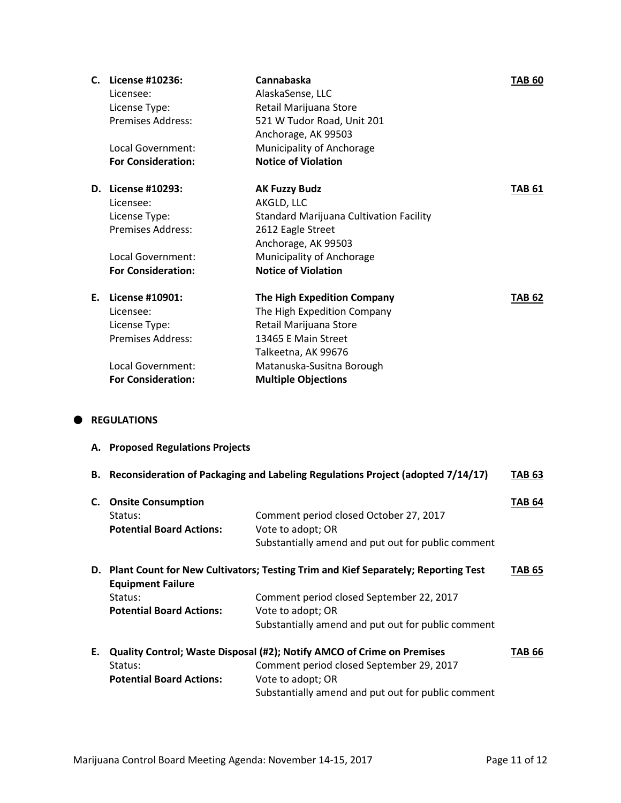|    | C. License #10236:        | Cannabaska                              | <b>TAB 60</b> |
|----|---------------------------|-----------------------------------------|---------------|
|    | Licensee:                 | AlaskaSense, LLC                        |               |
|    | License Type:             | Retail Marijuana Store                  |               |
|    | Premises Address:         | 521 W Tudor Road, Unit 201              |               |
|    |                           | Anchorage, AK 99503                     |               |
|    | Local Government:         | Municipality of Anchorage               |               |
|    | <b>For Consideration:</b> | <b>Notice of Violation</b>              |               |
| D. | License #10293:           | <b>AK Fuzzy Budz</b>                    | <b>TAB 61</b> |
|    | Licensee:                 | AKGLD, LLC                              |               |
|    | License Type:             | Standard Marijuana Cultivation Facility |               |
|    | <b>Premises Address:</b>  | 2612 Eagle Street                       |               |
|    |                           | Anchorage, AK 99503                     |               |
|    | Local Government:         | Municipality of Anchorage               |               |
|    | <b>For Consideration:</b> | <b>Notice of Violation</b>              |               |
| F. | License #10901:           | <b>The High Expedition Company</b>      | <b>TAB 62</b> |
|    | Licensee:                 | The High Expedition Company             |               |
|    | License Type:             | Retail Marijuana Store                  |               |
|    | <b>Premises Address:</b>  | 13465 E Main Street                     |               |
|    |                           | Talkeetna, AK 99676                     |               |
|    | Local Government:         | Matanuska-Susitna Borough               |               |
|    | <b>For Consideration:</b> | <b>Multiple Objections</b>              |               |
|    |                           |                                         |               |

# $\bullet$  REGULATIONS

**A. Proposed Regulations Projects**

|    |                                                                         | B. Reconsideration of Packaging and Labeling Regulations Project (adopted 7/14/17) | <b>TAB 63</b> |
|----|-------------------------------------------------------------------------|------------------------------------------------------------------------------------|---------------|
| C. | <b>Onsite Consumption</b><br>Status:<br><b>Potential Board Actions:</b> | Comment period closed October 27, 2017<br>Vote to adopt; OR                        | <b>TAB 64</b> |
|    |                                                                         | Substantially amend and put out for public comment                                 |               |
| D. | <b>Equipment Failure</b>                                                | Plant Count for New Cultivators; Testing Trim and Kief Separately; Reporting Test  | <b>TAB 65</b> |
|    | Status:                                                                 | Comment period closed September 22, 2017                                           |               |
|    | <b>Potential Board Actions:</b>                                         | Vote to adopt; OR                                                                  |               |
|    |                                                                         | Substantially amend and put out for public comment                                 |               |
| Е. | Quality Control; Waste Disposal (#2); Notify AMCO of Crime on Premises  |                                                                                    | <b>TAB 66</b> |
|    | Status:                                                                 | Comment period closed September 29, 2017                                           |               |
|    | <b>Potential Board Actions:</b>                                         | Vote to adopt; OR                                                                  |               |
|    |                                                                         | Substantially amend and put out for public comment                                 |               |